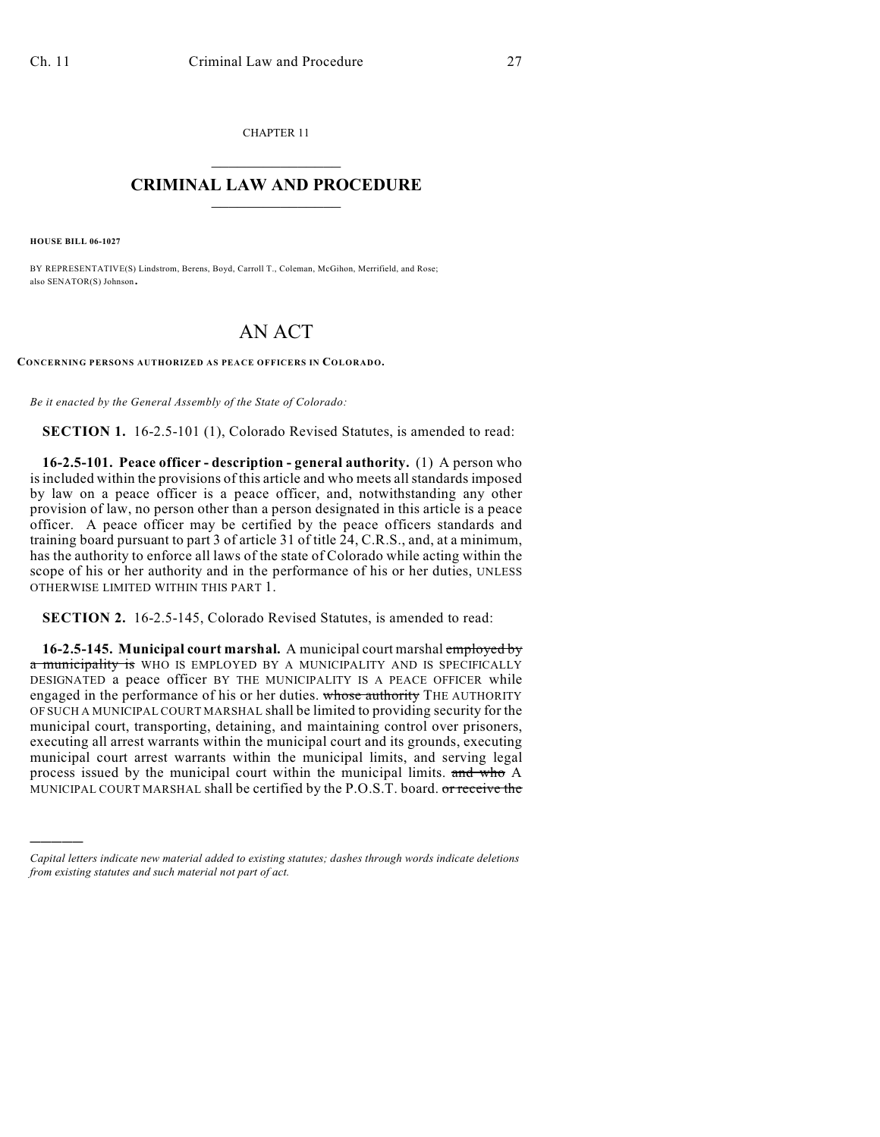CHAPTER 11  $\mathcal{L}_\text{max}$  . The set of the set of the set of the set of the set of the set of the set of the set of the set of the set of the set of the set of the set of the set of the set of the set of the set of the set of the set

## **CRIMINAL LAW AND PROCEDURE**  $\_$   $\_$   $\_$   $\_$   $\_$   $\_$   $\_$   $\_$   $\_$   $\_$

**HOUSE BILL 06-1027**

)))))

BY REPRESENTATIVE(S) Lindstrom, Berens, Boyd, Carroll T., Coleman, McGihon, Merrifield, and Rose; also SENATOR(S) Johnson.

## AN ACT

**CONCERNING PERSONS AUTHORIZED AS PEACE OFFICERS IN COLORADO.**

*Be it enacted by the General Assembly of the State of Colorado:*

**SECTION 1.** 16-2.5-101 (1), Colorado Revised Statutes, is amended to read:

**16-2.5-101. Peace officer - description - general authority.** (1) A person who is included within the provisions of this article and who meets all standards imposed by law on a peace officer is a peace officer, and, notwithstanding any other provision of law, no person other than a person designated in this article is a peace officer. A peace officer may be certified by the peace officers standards and training board pursuant to part 3 of article 31 of title 24, C.R.S., and, at a minimum, has the authority to enforce all laws of the state of Colorado while acting within the scope of his or her authority and in the performance of his or her duties, UNLESS OTHERWISE LIMITED WITHIN THIS PART 1.

**SECTION 2.** 16-2.5-145, Colorado Revised Statutes, is amended to read:

**16-2.5-145. Municipal court marshal.** A municipal court marshal employed by a municipality is WHO IS EMPLOYED BY A MUNICIPALITY AND IS SPECIFICALLY DESIGNATED a peace officer BY THE MUNICIPALITY IS A PEACE OFFICER while engaged in the performance of his or her duties. whose authority THE AUTHORITY OF SUCH A MUNICIPAL COURT MARSHAL shall be limited to providing security for the municipal court, transporting, detaining, and maintaining control over prisoners, executing all arrest warrants within the municipal court and its grounds, executing municipal court arrest warrants within the municipal limits, and serving legal process issued by the municipal court within the municipal limits. and who A MUNICIPAL COURT MARSHAL shall be certified by the P.O.S.T. board. or receive the

*Capital letters indicate new material added to existing statutes; dashes through words indicate deletions from existing statutes and such material not part of act.*